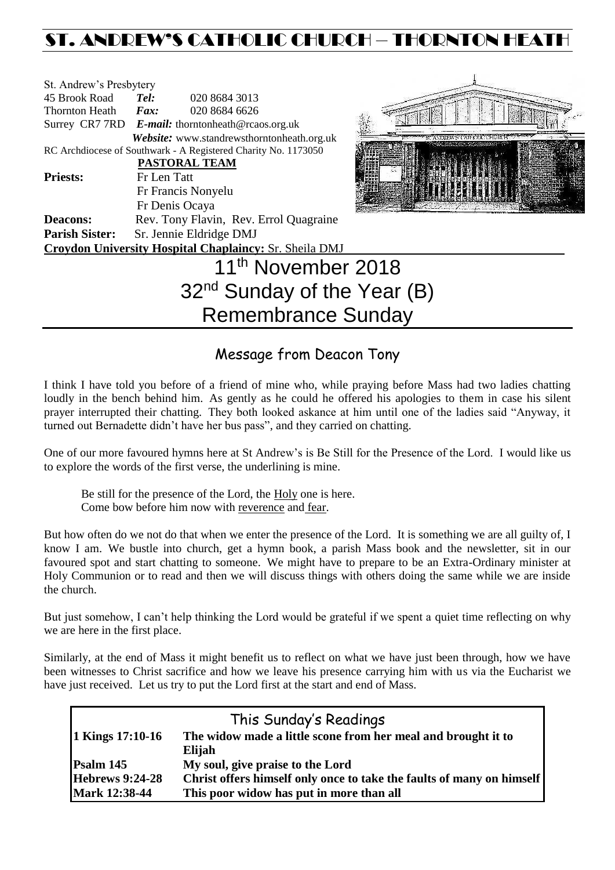## ST. ANDREW'S CATHOLIC CHURCH – THORNTON HEAT

| St. Andrew's Presbytery                                        |                                                   |                      |                                                        |  |
|----------------------------------------------------------------|---------------------------------------------------|----------------------|--------------------------------------------------------|--|
| 45 Brook Road                                                  | Tel:                                              | 020 8684 3013        |                                                        |  |
| Thornton Heath                                                 | <i>Fax:</i>                                       | 020 8684 6626        |                                                        |  |
|                                                                | Surrey CR7 7RD E-mail: thorntonheath@rcaos.org.uk |                      |                                                        |  |
|                                                                |                                                   |                      | Website: www.standrewsthorntonheath.org.uk             |  |
| RC Archdiocese of Southwark - A Registered Charity No. 1173050 |                                                   |                      |                                                        |  |
|                                                                |                                                   | <b>PASTORAL TEAM</b> |                                                        |  |
| <b>Priests:</b>                                                | Fr Len Tatt                                       |                      |                                                        |  |
|                                                                | Fr Francis Nonyelu                                |                      |                                                        |  |
|                                                                |                                                   | Fr Denis Ocaya       |                                                        |  |
| Deacons:                                                       | Rev. Tony Flavin, Rev. Errol Quagraine            |                      |                                                        |  |
| <b>Parish Sister:</b>                                          | Sr. Jennie Eldridge DMJ                           |                      |                                                        |  |
|                                                                |                                                   |                      | Croydon University Hospital Chaplaincy: Sr. Sheila DMJ |  |
|                                                                |                                                   |                      | 11 <sup>th</sup> November 2                            |  |



# 2018 32<sup>nd</sup> Sunday of the Year (B) Remembrance Sunday

## Message from Deacon Tony

I think I have told you before of a friend of mine who, while praying before Mass had two ladies chatting loudly in the bench behind him. As gently as he could he offered his apologies to them in case his silent prayer interrupted their chatting. They both looked askance at him until one of the ladies said "Anyway, it turned out Bernadette didn't have her bus pass", and they carried on chatting.

One of our more favoured hymns here at St Andrew's is Be Still for the Presence of the Lord. I would like us to explore the words of the first verse, the underlining is mine.

Be still for the presence of the Lord, the Holy one is here. Come bow before him now with reverence and fear.

But how often do we not do that when we enter the presence of the Lord. It is something we are all guilty of, I know I am. We bustle into church, get a hymn book, a parish Mass book and the newsletter, sit in our favoured spot and start chatting to someone. We might have to prepare to be an Extra-Ordinary minister at Holy Communion or to read and then we will discuss things with others doing the same while we are inside the church.

But just somehow, I can't help thinking the Lord would be grateful if we spent a quiet time reflecting on why we are here in the first place.

Similarly, at the end of Mass it might benefit us to reflect on what we have just been through, how we have been witnesses to Christ sacrifice and how we leave his presence carrying him with us via the Eucharist we have just received. Let us try to put the Lord first at the start and end of Mass.

|                        | This Sunday's Readings                                                |
|------------------------|-----------------------------------------------------------------------|
| 1 Kings 17:10-16       | The widow made a little scone from her meal and brought it to         |
|                        | Elijah                                                                |
| Psalm 145              | My soul, give praise to the Lord                                      |
| <b>Hebrews 9:24-28</b> | Christ offers himself only once to take the faults of many on himself |
| <b>Mark 12:38-44</b>   | This poor widow has put in more than all                              |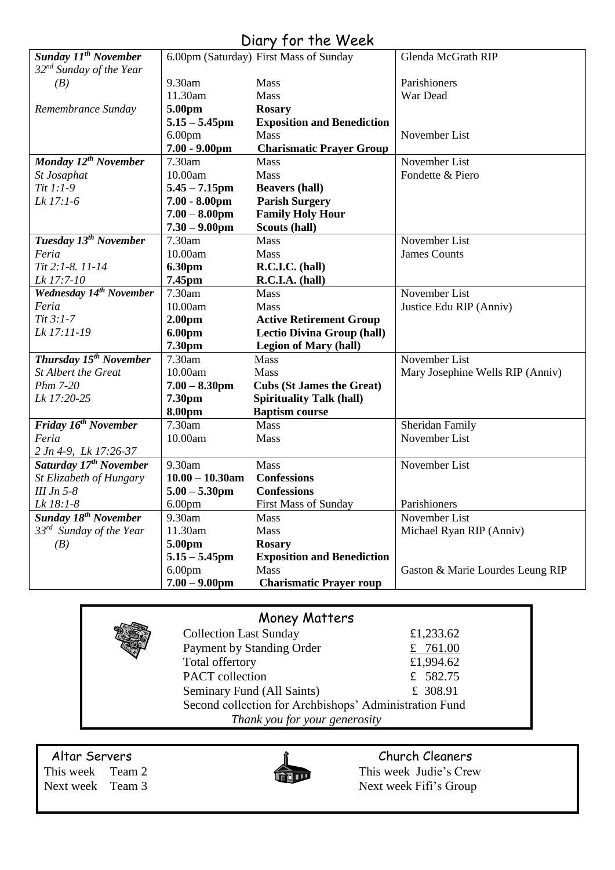|                                          |                                        | UNITY IVI INC WEEK                |                                  |  |
|------------------------------------------|----------------------------------------|-----------------------------------|----------------------------------|--|
| Sunday 11 <sup>th</sup> November         | 6.00pm (Saturday) First Mass of Sunday |                                   | Glenda McGrath RIP               |  |
| $32nd$ Sunday of the Year                |                                        |                                   |                                  |  |
| (B)                                      | 9.30am<br>Mass                         |                                   | Parishioners                     |  |
|                                          | 11.30am                                | Mass                              | War Dead                         |  |
| Remembrance Sunday                       | 5.00pm                                 | <b>Rosary</b>                     |                                  |  |
|                                          | $5.15 - 5.45$ pm                       | <b>Exposition and Benediction</b> |                                  |  |
|                                          | 6.00 <sub>pm</sub>                     | Mass                              | November List                    |  |
|                                          | $7.00 - 9.00$ pm                       | <b>Charismatic Prayer Group</b>   |                                  |  |
| Monday 12 <sup>th</sup> November         | 7.30am                                 | <b>Mass</b>                       | November List                    |  |
| St Josaphat                              | 10.00am                                | Mass                              | Fondette & Piero                 |  |
| Tit $1:1-9$                              | $5.45 - 7.15$ pm                       | <b>Beavers (hall)</b>             |                                  |  |
| Lk 17:1-6                                | $7.00 - 8.00$ pm                       | <b>Parish Surgery</b>             |                                  |  |
|                                          | $7.00 - 8.00$ pm                       | <b>Family Holy Hour</b>           |                                  |  |
|                                          | $7.30 - 9.00$ pm                       | Scouts (hall)                     |                                  |  |
| Tuesday 13 <sup>th</sup> November        | 7.30am                                 | <b>Mass</b>                       | November List                    |  |
| Feria                                    | 10.00am                                | Mass                              | <b>James Counts</b>              |  |
| Tit 2:1-8. 11-14                         | 6.30pm                                 | R.C.I.C. (hall)                   |                                  |  |
| Lk 17:7-10                               | 7.45pm                                 | R.C.I.A. (hall)                   |                                  |  |
| Wednesday 14th November                  | 7.30am                                 | Mass                              | November List                    |  |
| Feria                                    | 10.00am                                | Mass                              | Justice Edu RIP (Anniv)          |  |
| $Tit 3:1-7$                              | 2.00 <sub>pm</sub>                     | <b>Active Retirement Group</b>    |                                  |  |
| Lk 17:11-19                              | 6.00pm                                 | <b>Lectio Divina Group (hall)</b> |                                  |  |
|                                          | 7.30pm                                 | <b>Legion of Mary (hall)</b>      |                                  |  |
| <b>Thursday 15<sup>th</sup> November</b> | 7.30am                                 | Mass                              | November List                    |  |
| <b>St Albert the Great</b>               | 10.00am                                | Mass                              | Mary Josephine Wells RIP (Anniv) |  |
| Phm 7-20                                 | $7.00 - 8.30$ pm                       | <b>Cubs (St James the Great)</b>  |                                  |  |
| Lk 17:20-25                              | 7.30pm                                 | <b>Spirituality Talk (hall)</b>   |                                  |  |
|                                          | 8.00pm                                 | <b>Baptism course</b>             |                                  |  |
| Friday 16 <sup>th</sup> November         | 7.30am                                 | <b>Mass</b>                       | Sheridan Family                  |  |
| Feria                                    | 10.00am                                | Mass                              | November List                    |  |
| 2 Jn 4-9, Lk 17:26-37                    |                                        |                                   |                                  |  |
| Saturday 17 <sup>th</sup> November       | 9.30am                                 | Mass                              | November List                    |  |
| St Elizabeth of Hungary                  | $10.00 - 10.30$ am                     | <b>Confessions</b>                |                                  |  |
| III $Jn$ 5-8                             | $5.00 - 5.30$ pm                       | <b>Confessions</b>                |                                  |  |
| Lk 18:1-8                                | 6.00 <sub>pm</sub>                     | <b>First Mass of Sunday</b>       | Parishioners                     |  |
| <b>Sunday 18th November</b>              | 9.30am                                 | <b>Mass</b>                       | November List                    |  |
| $33rd$ Sunday of the Year                | 11.30am                                | Mass                              | Michael Ryan RIP (Anniv)         |  |
| (B)                                      | 5.00pm                                 | <b>Rosary</b>                     |                                  |  |
|                                          | $5.15 - 5.45$ pm                       | <b>Exposition and Benediction</b> |                                  |  |
|                                          | 6.00 <sub>pm</sub>                     | Mass                              | Gaston & Marie Lourdes Leung RIP |  |
|                                          | $7.00 - 9.00$ pm                       | <b>Charismatic Prayer roup</b>    |                                  |  |
|                                          |                                        |                                   |                                  |  |

## Diary for the Week



| <b>Collection Last Sunday</b>                          | £1,233.62  |  |  |  |
|--------------------------------------------------------|------------|--|--|--|
| Payment by Standing Order                              | £ $761.00$ |  |  |  |
| Total offertory                                        | £1,994.62  |  |  |  |
| <b>PACT</b> collection                                 | £ 582.75   |  |  |  |
| Seminary Fund (All Saints)                             | £ 308.91   |  |  |  |
| Second collection for Archbishops' Administration Fund |            |  |  |  |
| Thank you for your generosity                          |            |  |  |  |



Altar Servers<br>
This week Team 2 This week Judie's Crevent Cleaners<br>
This week Judie's Crevent Cleaners This week Team 2 This week Judie's Crew<br>Next week Team 3 Next week Fifi's Group Next week Fifi's Group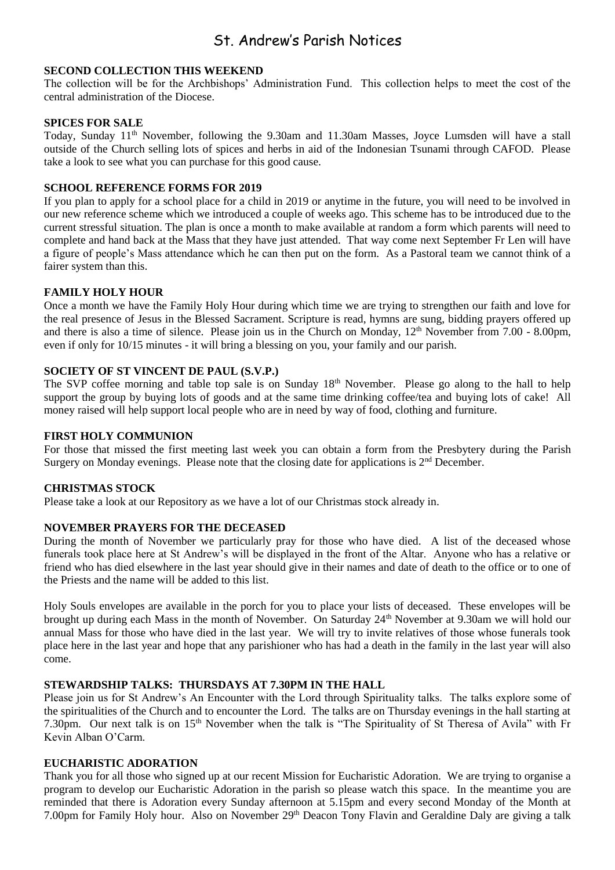### St. Andrew's Parish Notices

#### **SECOND COLLECTION THIS WEEKEND**

The collection will be for the Archbishops' Administration Fund. This collection helps to meet the cost of the central administration of the Diocese.

#### **SPICES FOR SALE**

Today, Sunday 11th November, following the 9.30am and 11.30am Masses, Joyce Lumsden will have a stall outside of the Church selling lots of spices and herbs in aid of the Indonesian Tsunami through CAFOD. Please take a look to see what you can purchase for this good cause.

#### **SCHOOL REFERENCE FORMS FOR 2019**

If you plan to apply for a school place for a child in 2019 or anytime in the future, you will need to be involved in our new reference scheme which we introduced a couple of weeks ago. This scheme has to be introduced due to the current stressful situation. The plan is once a month to make available at random a form which parents will need to complete and hand back at the Mass that they have just attended. That way come next September Fr Len will have a figure of people's Mass attendance which he can then put on the form. As a Pastoral team we cannot think of a fairer system than this.

#### **FAMILY HOLY HOUR**

Once a month we have the Family Holy Hour during which time we are trying to strengthen our faith and love for the real presence of Jesus in the Blessed Sacrament. Scripture is read, hymns are sung, bidding prayers offered up and there is also a time of silence. Please join us in the Church on Monday,  $12<sup>th</sup>$  November from 7.00 - 8.00pm, even if only for 10/15 minutes - it will bring a blessing on you, your family and our parish.

#### **SOCIETY OF ST VINCENT DE PAUL (S.V.P.)**

The SVP coffee morning and table top sale is on Sunday 18<sup>th</sup> November. Please go along to the hall to help support the group by buying lots of goods and at the same time drinking coffee/tea and buying lots of cake! All money raised will help support local people who are in need by way of food, clothing and furniture.

#### **FIRST HOLY COMMUNION**

For those that missed the first meeting last week you can obtain a form from the Presbytery during the Parish Surgery on Monday evenings. Please note that the closing date for applications is 2<sup>nd</sup> December.

#### **CHRISTMAS STOCK**

Please take a look at our Repository as we have a lot of our Christmas stock already in.

#### **NOVEMBER PRAYERS FOR THE DECEASED**

During the month of November we particularly pray for those who have died. A list of the deceased whose funerals took place here at St Andrew's will be displayed in the front of the Altar. Anyone who has a relative or friend who has died elsewhere in the last year should give in their names and date of death to the office or to one of the Priests and the name will be added to this list.

Holy Souls envelopes are available in the porch for you to place your lists of deceased. These envelopes will be brought up during each Mass in the month of November. On Saturday 24<sup>th</sup> November at 9.30am we will hold our annual Mass for those who have died in the last year. We will try to invite relatives of those whose funerals took place here in the last year and hope that any parishioner who has had a death in the family in the last year will also come.

#### **STEWARDSHIP TALKS: THURSDAYS AT 7.30PM IN THE HALL**

Please join us for St Andrew's An Encounter with the Lord through Spirituality talks. The talks explore some of the spiritualities of the Church and to encounter the Lord. The talks are on Thursday evenings in the hall starting at 7.30pm. Our next talk is on 15<sup>th</sup> November when the talk is "The Spirituality of St Theresa of Avila" with Fr Kevin Alban O'Carm.

#### **EUCHARISTIC ADORATION**

Thank you for all those who signed up at our recent Mission for Eucharistic Adoration. We are trying to organise a program to develop our Eucharistic Adoration in the parish so please watch this space. In the meantime you are reminded that there is Adoration every Sunday afternoon at 5.15pm and every second Monday of the Month at 7.00pm for Family Holy hour. Also on November 29<sup>th</sup> Deacon Tony Flavin and Geraldine Daly are giving a talk